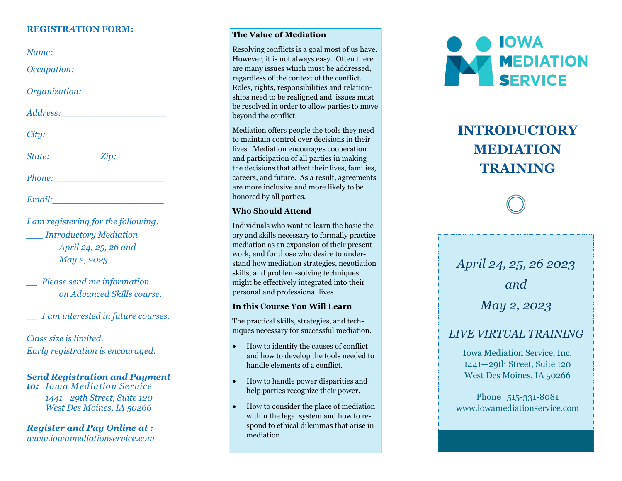### **REGISTR***A***TION FORM:**

| Occupation: |  |
|-------------|--|
|             |  |
|             |  |
| City:       |  |
| State: Zip: |  |
|             |  |
|             |  |

*I am registering for the following: \_\_\_ Introductory Mediation April 24, 25, 26 and May 2, 2023*

*\_\_ Please send me information on Advanced Skills course.* 

*\_\_ I am interested in future courses.*

*Class size is limited. Early registration is encouraged.*

### *Send Registration and Payment*

*to: Iowa Mediation Service 1441 —29th Street, Suite 120 West Des Moines, IA 50266*

*Register and Pay Online at : www.iowamediationservice.com*

### **The Value of Mediation**

Resolving conflicts is a goal most of us have. However, it is not always easy. Often there are many issues which must be addressed, regardless of the context of the conflict. Roles, rights, responsibilities and relationships need to be realigned and issues must be resolved in order to allow parties to move beyond the conflict.

Mediation offers people the tools they need to maintain control over decisions in their lives. Mediation encourages cooperation and participation of all parties in making the decisions that affect their lives, families, careers, and future. As a result, agreements are more inclusive and more likely to be honored by all parties.

### **Who Should Attend**

Individuals who want to learn the basic the ory and skills necessary to formally practice mediation as an expansion of their present work, and for those who desire to understand how mediation strategies, negotiation skills, and problem -solving techniques might be effectively integrated into their personal and professional lives.

#### **In this Course You Will Learn**

The practical skills, strategies, and techniques necessary for successful mediation.

- How to identify the causes of conflict and how to develop the tools needed to handle elements of a conflict.
- How to handle power disparities and help parties recognize their power.
- How to consider the place of mediation within the legal system and how to respond to ethical dilemmas that arise in mediation.



# **INTRODUCTORY MEDIATION TRAINING**



### *LIVE VIRTUAL TRAINING*

Iowa Mediation Service, Inc. 1441 —29th Street, Suite 120 West Des Moines, IA 50266

Phone 515-331-8081 www.iowamediationservice.com